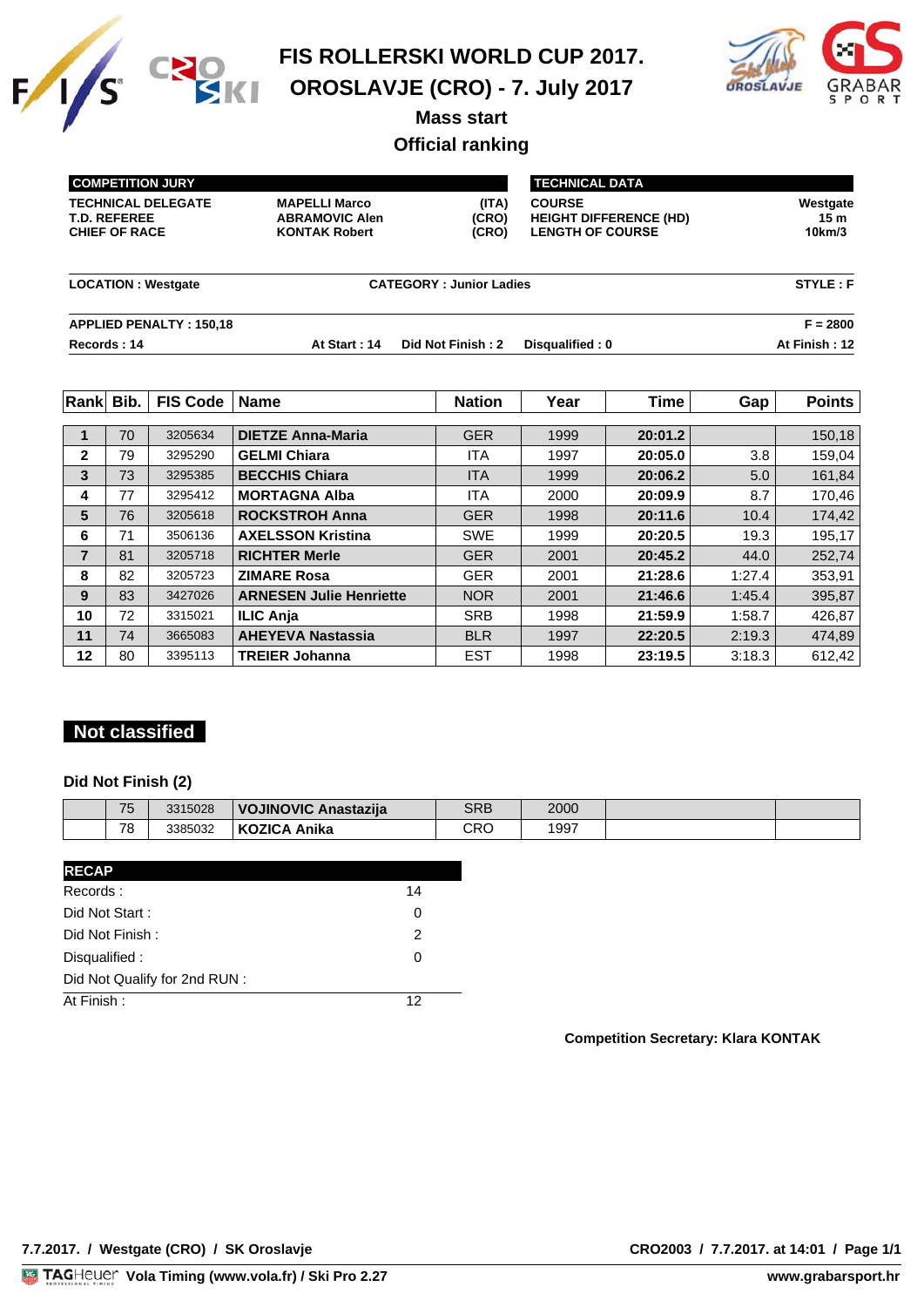



**Mass start**

# **Official ranking**

| <b>COMPETITION JURY</b>                                                  |                                                                       | <b>TECHNICAL DATA</b>          |                                                                           |                           |  |
|--------------------------------------------------------------------------|-----------------------------------------------------------------------|--------------------------------|---------------------------------------------------------------------------|---------------------------|--|
| <b>TECHNICAL DELEGATE</b><br><b>T.D. REFEREE</b><br><b>CHIEF OF RACE</b> | <b>MAPELLI Marco</b><br><b>ABRAMOVIC Alen</b><br><b>KONTAK Robert</b> | (ITA)<br>(CRO)<br>(CRO)        | <b>COURSE</b><br><b>HEIGHT DIFFERENCE (HD)</b><br><b>LENGTH OF COURSE</b> | Westgate<br>15m<br>10km/3 |  |
| <b>LOCATION: Westgate</b>                                                |                                                                       | <b>CATEGORY: Junior Ladies</b> |                                                                           | STYLE: F                  |  |
| <b>APPLIED PENALTY: 150,18</b>                                           |                                                                       |                                |                                                                           | $F = 2800$                |  |
| Records: 14                                                              | At Start: 14                                                          | Did Not Finish: 2              | Disqualified: 0                                                           | At Finish: 12             |  |

| Rank           | Bib. | <b>FIS Code</b> | <b>Name</b>                    | <b>Nation</b> | Year | <b>Time</b> | Gap    | Points  |
|----------------|------|-----------------|--------------------------------|---------------|------|-------------|--------|---------|
|                |      |                 |                                |               |      |             |        |         |
|                | 70   | 3205634         | <b>DIETZE Anna-Maria</b>       | <b>GER</b>    | 1999 | 20:01.2     |        | 150, 18 |
| $\mathbf{2}$   | 79   | 3295290         | <b>GELMI Chiara</b>            | <b>ITA</b>    | 1997 | 20:05.0     | 3.8    | 159,04  |
| 3              | 73   | 3295385         | <b>BECCHIS Chiara</b>          | <b>ITA</b>    | 1999 | 20:06.2     | 5.0    | 161,84  |
| 4              | 77   | 3295412         | <b>MORTAGNA Alba</b>           | ITA           | 2000 | 20:09.9     | 8.7    | 170,46  |
| 5              | 76   | 3205618         | <b>ROCKSTROH Anna</b>          | <b>GER</b>    | 1998 | 20:11.6     | 10.4   | 174,42  |
| 6              | 71   | 3506136         | <b>AXELSSON Kristina</b>       | <b>SWE</b>    | 1999 | 20:20.5     | 19.3   | 195,17  |
| $\overline{7}$ | 81   | 3205718         | <b>RICHTER Merle</b>           | <b>GER</b>    | 2001 | 20:45.2     | 44.0   | 252,74  |
| 8              | 82   | 3205723         | <b>ZIMARE Rosa</b>             | <b>GER</b>    | 2001 | 21:28.6     | 1:27.4 | 353,91  |
| 9              | 83   | 3427026         | <b>ARNESEN Julie Henriette</b> | <b>NOR</b>    | 2001 | 21:46.6     | 1:45.4 | 395,87  |
| 10             | 72   | 3315021         | <b>ILIC Anja</b>               | <b>SRB</b>    | 1998 | 21:59.9     | 1:58.7 | 426,87  |
| 11             | 74   | 3665083         | <b>AHEYEVA Nastassia</b>       | <b>BLR</b>    | 1997 | 22:20.5     | 2:19.3 | 474,89  |
| 12             | 80   | 3395113         | <b>TREIER Johanna</b>          | <b>EST</b>    | 1998 | 23:19.5     | 3:18.3 | 612,42  |

### **Not classified**

#### **Did Not Finish (2)**

| 75 | 3315028 | VOJINOVIC Anastazija   | SRB              | 2000         |  |
|----|---------|------------------------|------------------|--------------|--|
| 78 | 3385032 | <b>KOZICA</b><br>Anika | ∩o∩<br>しへし<br>__ | 1997<br>$ -$ |  |

| <b>RECAP</b>                  |    |
|-------------------------------|----|
| Records:                      | 14 |
| Did Not Start:                | 0  |
| Did Not Finish:               | 2  |
| Disqualified:                 | 0  |
| Did Not Qualify for 2nd RUN : |    |
| At Finish:                    | 12 |
|                               |    |

#### **Competition Secretary: Klara KONTAK**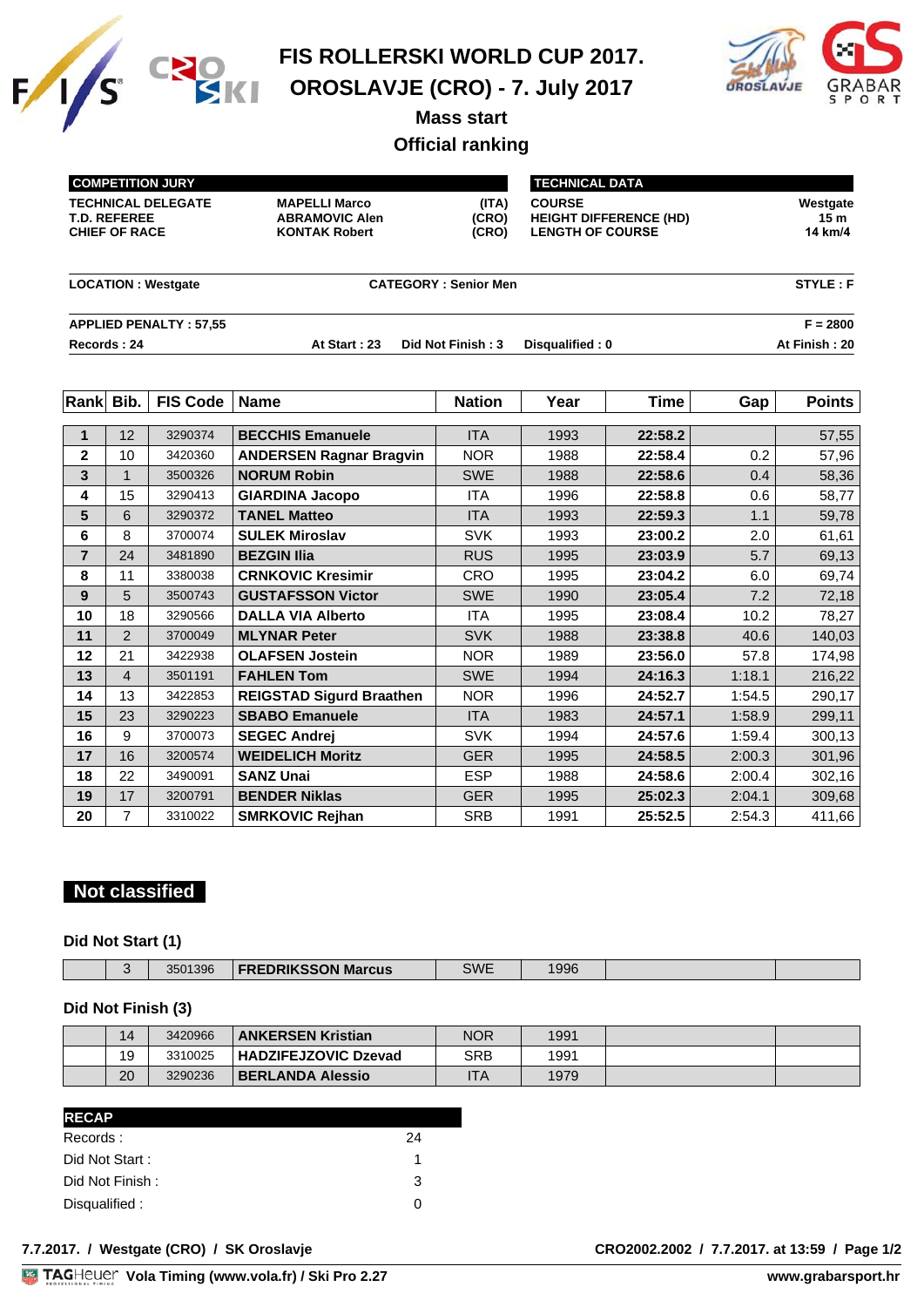



**Mass start**

# **Official ranking**

| <b>COMPETITION JURY</b>                                                  |                                                                       | <b>TECHNICAL DATA</b>       |                                                                           |                            |
|--------------------------------------------------------------------------|-----------------------------------------------------------------------|-----------------------------|---------------------------------------------------------------------------|----------------------------|
| <b>TECHNICAL DELEGATE</b><br><b>T.D. REFEREE</b><br><b>CHIEF OF RACE</b> | <b>MAPELLI Marco</b><br><b>ABRAMOVIC Alen</b><br><b>KONTAK Robert</b> | (ITA)<br>(CRO)<br>(CRO)     | <b>COURSE</b><br><b>HEIGHT DIFFERENCE (HD)</b><br><b>LENGTH OF COURSE</b> | Westgate<br>15m<br>14 km/4 |
| <b>LOCATION: Westgate</b>                                                |                                                                       | <b>CATEGORY: Senior Men</b> |                                                                           | STYLE: F                   |
| <b>APPLIED PENALTY: 57,55</b>                                            |                                                                       |                             |                                                                           | $F = 2800$                 |
| Records: 24                                                              | At Start: 23                                                          | Did Not Finish: 3           | Disqualified: 0                                                           | At Finish: 20              |

| Rank Bib.      |                | <b>FIS Code</b> | <b>Name</b>                     | <b>Nation</b> | Year | Time    | Gap    | <b>Points</b> |
|----------------|----------------|-----------------|---------------------------------|---------------|------|---------|--------|---------------|
|                |                |                 |                                 |               |      |         |        |               |
| 1              | 12             | 3290374         | <b>BECCHIS Emanuele</b>         | <b>ITA</b>    | 1993 | 22:58.2 |        | 57,55         |
| 2              | 10             | 3420360         | <b>ANDERSEN Ragnar Bragvin</b>  | <b>NOR</b>    | 1988 | 22:58.4 | 0.2    | 57,96         |
| 3              |                | 3500326         | <b>NORUM Robin</b>              | <b>SWE</b>    | 1988 | 22:58.6 | 0.4    | 58,36         |
| 4              | 15             | 3290413         | <b>GIARDINA Jacopo</b>          | ITA           | 1996 | 22:58.8 | 0.6    | 58,77         |
| 5              | 6              | 3290372         | <b>TANEL Matteo</b>             | <b>ITA</b>    | 1993 | 22:59.3 | 1.1    | 59,78         |
| 6              | 8              | 3700074         | <b>SULEK Miroslav</b>           | <b>SVK</b>    | 1993 | 23:00.2 | 2.0    | 61,61         |
| $\overline{7}$ | 24             | 3481890         | <b>BEZGIN Ilia</b>              | <b>RUS</b>    | 1995 | 23:03.9 | 5.7    | 69,13         |
| 8              | 11             | 3380038         | <b>CRNKOVIC Kresimir</b>        | <b>CRO</b>    | 1995 | 23:04.2 | 6.0    | 69,74         |
| 9              | 5              | 3500743         | <b>GUSTAFSSON Victor</b>        | SWE           | 1990 | 23:05.4 | 7.2    | 72,18         |
| 10             | 18             | 3290566         | <b>DALLA VIA Alberto</b>        | <b>ITA</b>    | 1995 | 23:08.4 | 10.2   | 78,27         |
| 11             | $\overline{2}$ | 3700049         | <b>MLYNAR Peter</b>             | <b>SVK</b>    | 1988 | 23:38.8 | 40.6   | 140,03        |
| 12             | 21             | 3422938         | <b>OLAFSEN Jostein</b>          | <b>NOR</b>    | 1989 | 23:56.0 | 57.8   | 174,98        |
| 13             | 4              | 3501191         | <b>FAHLEN Tom</b>               | <b>SWE</b>    | 1994 | 24:16.3 | 1:18.1 | 216,22        |
| 14             | 13             | 3422853         | <b>REIGSTAD Sigurd Braathen</b> | <b>NOR</b>    | 1996 | 24:52.7 | 1:54.5 | 290,17        |
| 15             | 23             | 3290223         | <b>SBABO Emanuele</b>           | <b>ITA</b>    | 1983 | 24:57.1 | 1:58.9 | 299,11        |
| 16             | 9              | 3700073         | <b>SEGEC Andrej</b>             | <b>SVK</b>    | 1994 | 24:57.6 | 1:59.4 | 300,13        |
| 17             | 16             | 3200574         | <b>WEIDELICH Moritz</b>         | <b>GER</b>    | 1995 | 24:58.5 | 2:00.3 | 301,96        |
| 18             | 22             | 3490091         | <b>SANZ Unai</b>                | <b>ESP</b>    | 1988 | 24:58.6 | 2:00.4 | 302,16        |
| 19             | 17             | 3200791         | <b>BENDER Niklas</b>            | <b>GER</b>    | 1995 | 25:02.3 | 2:04.1 | 309,68        |
| 20             | $\overline{7}$ | 3310022         | <b>SMRKOVIC Rejhan</b>          | SRB           | 1991 | 25:52.5 | 2:54.3 | 411,66        |

# **Not classified**

#### **Did Not Start (1)**

|  |  | $\sim$ | 3501396 | <b>FREDRIKSSON Marcus</b> | ミハハト | 996 |  |  |
|--|--|--------|---------|---------------------------|------|-----|--|--|
|--|--|--------|---------|---------------------------|------|-----|--|--|

# **Did Not Finish (3)**

| 14 | 3420966 | <b>ANKERSEN Kristian</b>    | <b>NOR</b> | 1991 |  |
|----|---------|-----------------------------|------------|------|--|
| 19 | 3310025 | <b>HADZIFEJZOVIC Dzevad</b> | SRB        | 1991 |  |
| 20 | 3290236 | <b>BERLANDA Alessio</b>     | ITA        | 1979 |  |

| <b>RECAP</b>    |    |
|-----------------|----|
| Records:        | 24 |
| Did Not Start:  | 1  |
| Did Not Finish: | 3  |
| Disqualified:   | 0  |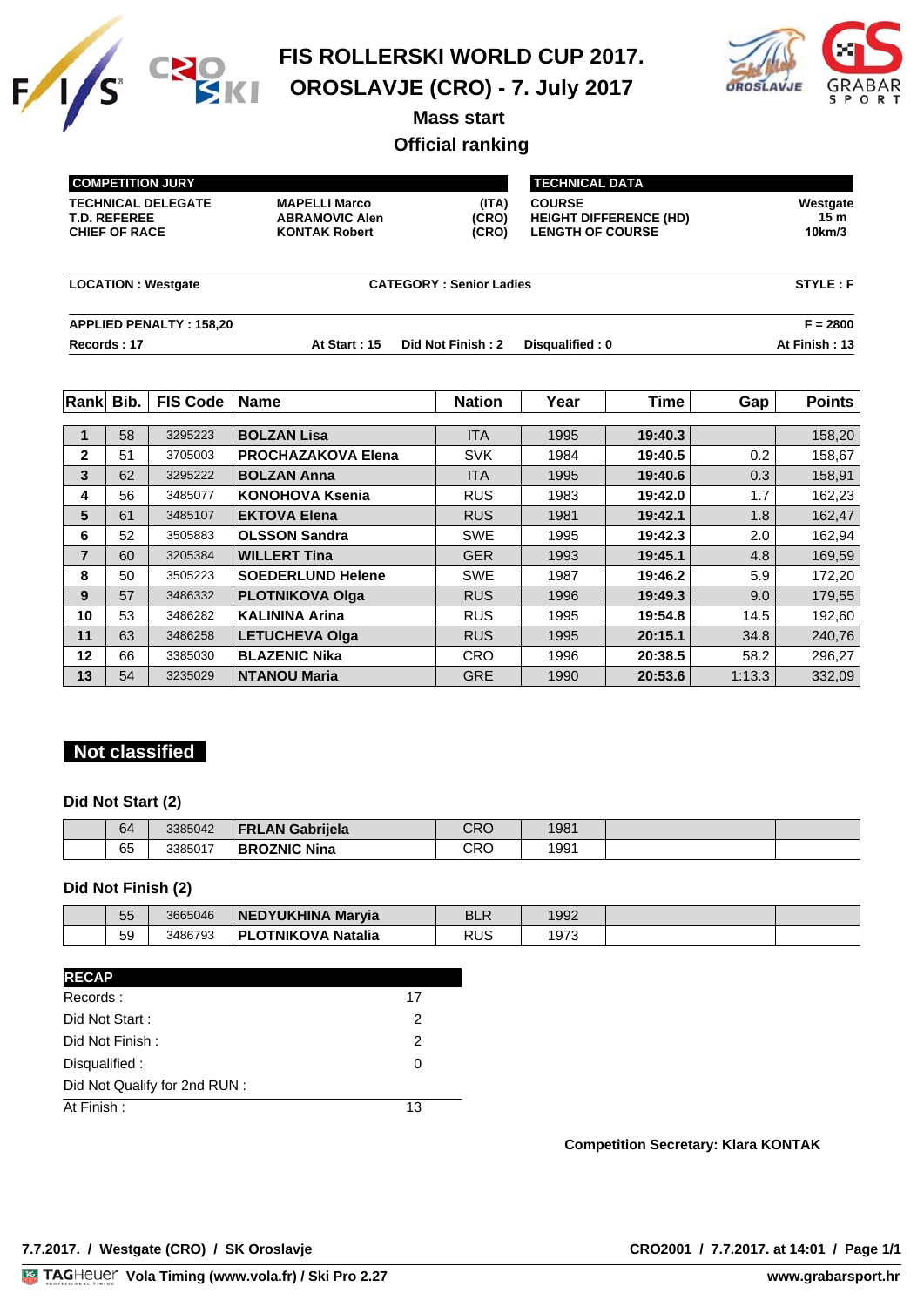



**Mass start** 

# **Official ranking**

| <b>COMPETITION JURY</b>                                                  |                                                                       |                                | <b>TECHNICAL DATA</b>                                                     |                           |
|--------------------------------------------------------------------------|-----------------------------------------------------------------------|--------------------------------|---------------------------------------------------------------------------|---------------------------|
| <b>TECHNICAL DELEGATE</b><br><b>T.D. REFEREE</b><br><b>CHIEF OF RACE</b> | <b>MAPELLI Marco</b><br><b>ABRAMOVIC Alen</b><br><b>KONTAK Robert</b> | (ITA)<br>(CRO)<br>(CRO)        | <b>COURSE</b><br><b>HEIGHT DIFFERENCE (HD)</b><br><b>LENGTH OF COURSE</b> | Westgate<br>15m<br>10km/3 |
| <b>LOCATION: Westgate</b>                                                |                                                                       | <b>CATEGORY: Senior Ladies</b> |                                                                           | STYLE: F                  |
| <b>APPLIED PENALTY: 158,20</b>                                           |                                                                       |                                |                                                                           | $F = 2800$                |
| Records: 17                                                              | At Start: 15                                                          | Did Not Finish: 2              | Disqualified: 0                                                           | At Finish: 13             |

| <b>Rank</b>    | Bib. | <b>FIS Code</b> | <b>Name</b>               | <b>Nation</b> | Year | <b>Time</b> | Gap    | <b>Points</b> |
|----------------|------|-----------------|---------------------------|---------------|------|-------------|--------|---------------|
|                |      |                 |                           |               |      |             |        |               |
|                | 58   | 3295223         | <b>BOLZAN Lisa</b>        | <b>ITA</b>    | 1995 | 19:40.3     |        | 158,20        |
| $\mathbf{2}$   | 51   | 3705003         | <b>PROCHAZAKOVA Elena</b> | <b>SVK</b>    | 1984 | 19:40.5     | 0.2    | 158,67        |
| 3              | 62   | 3295222         | <b>BOLZAN Anna</b>        | <b>ITA</b>    | 1995 | 19:40.6     | 0.3    | 158,91        |
| 4              | 56   | 3485077         | KONOHOVA Ksenia           | <b>RUS</b>    | 1983 | 19:42.0     | 1.7    | 162,23        |
| 5              | 61   | 3485107         | <b>EKTOVA Elena</b>       | <b>RUS</b>    | 1981 | 19:42.1     | 1.8    | 162,47        |
| 6              | 52   | 3505883         | <b>OLSSON Sandra</b>      | <b>SWE</b>    | 1995 | 19:42.3     | 2.0    | 162,94        |
| $\overline{7}$ | 60   | 3205384         | <b>WILLERT Tina</b>       | <b>GER</b>    | 1993 | 19:45.1     | 4.8    | 169,59        |
| 8              | 50   | 3505223         | <b>SOEDERLUND Helene</b>  | <b>SWE</b>    | 1987 | 19:46.2     | 5.9    | 172,20        |
| 9              | 57   | 3486332         | <b>PLOTNIKOVA Olga</b>    | <b>RUS</b>    | 1996 | 19:49.3     | 9.0    | 179,55        |
| 10             | 53   | 3486282         | <b>KALININA Arina</b>     | <b>RUS</b>    | 1995 | 19:54.8     | 14.5   | 192,60        |
| 11             | 63   | 3486258         | <b>LETUCHEVA Olga</b>     | <b>RUS</b>    | 1995 | 20:15.1     | 34.8   | 240,76        |
| 12             | 66   | 3385030         | <b>BLAZENIC Nika</b>      | <b>CRO</b>    | 1996 | 20:38.5     | 58.2   | 296,27        |
| 13             | 54   | 3235029         | <b>NTANOU Maria</b>       | <b>GRE</b>    | 1990 | 20:53.6     | 1:13.3 | 332,09        |

# **Not classified**

#### **Did Not Start (2)**

| 64 | 3385042 | Gabriiela<br>.AN<br>FR'           | חםר<br>しへし | 1981 |  |
|----|---------|-----------------------------------|------------|------|--|
| 65 | 3385017 | Nina<br><b>OZNIC</b><br><b>BR</b> | CRC        | 1991 |  |

#### **Did Not Finish (2)**

| 55 | 3665046 | NEDYUKHINA Marvia | <b>BLR</b> | 1992 |  |
|----|---------|-------------------|------------|------|--|
| 59 | 3486793 | Natalia<br>DІ     | RUS        | 1973 |  |

| <b>RECAP</b>                  |    |
|-------------------------------|----|
| Records:                      | 17 |
| Did Not Start:                | 2  |
| Did Not Finish:               | 2  |
| Disqualified:                 | O  |
| Did Not Qualify for 2nd RUN : |    |
| At Finish:                    | 13 |
|                               |    |

#### **Competition Secretary: Klara KONTAK**